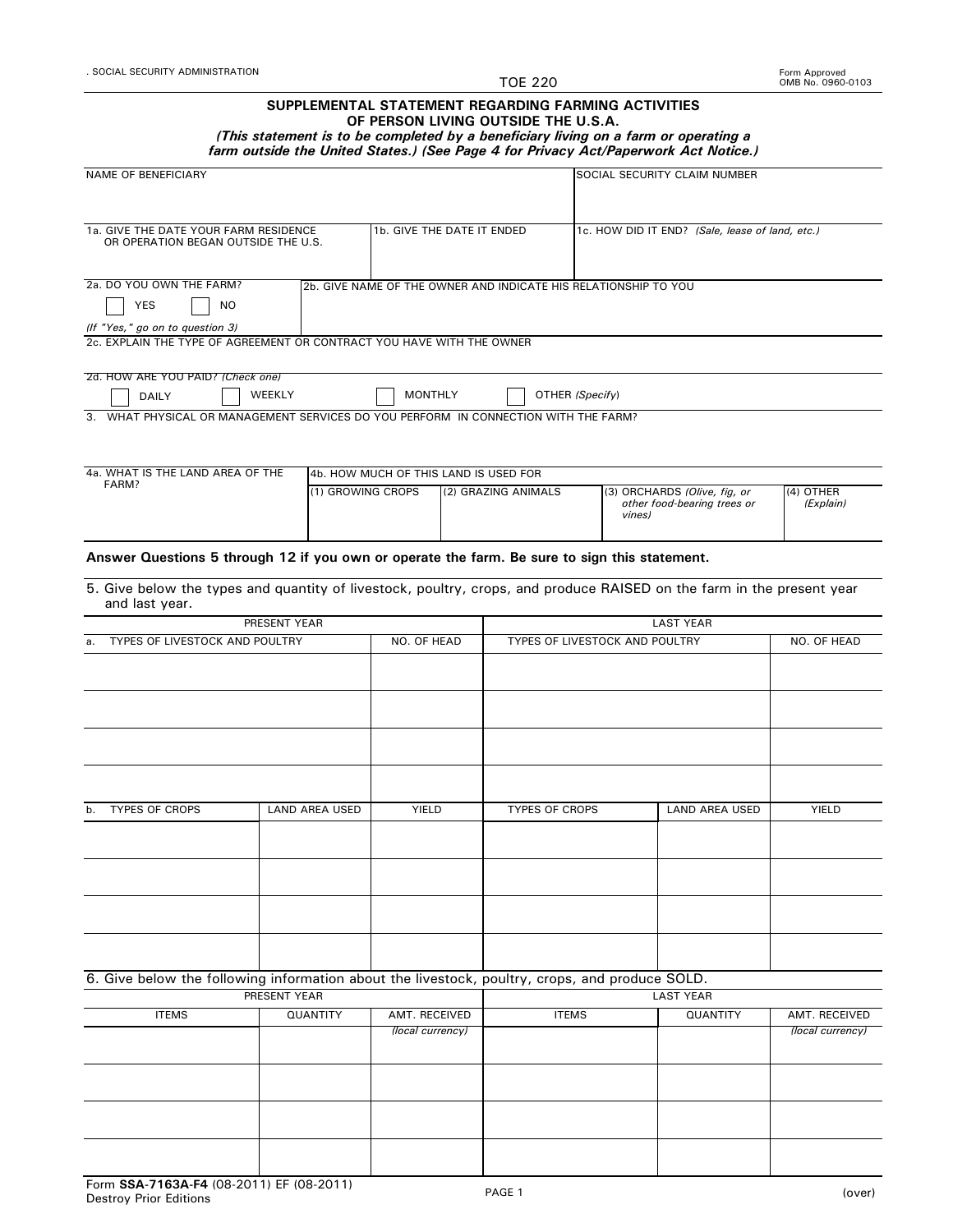TOE 220

## **SUPPLEMENTAL STATEMENT REGARDING FARMING ACTIVITIES OF PERSON LIVING OUTSIDE THE U.S.A.**

*(This statement is to be completed by a beneficiary living on a farm or operating a*

| farm outside the United States.) (See Page 4 for Privacy Act/Paperwork Act Notice.) |  |  |
|-------------------------------------------------------------------------------------|--|--|
|-------------------------------------------------------------------------------------|--|--|

| <b>NAME OF BENEFICIARY</b>                                                                               |                            |                                       |                                                 | SOCIAL SECURITY CLAIM NUMBER                                                                                          |                                   |  |
|----------------------------------------------------------------------------------------------------------|----------------------------|---------------------------------------|-------------------------------------------------|-----------------------------------------------------------------------------------------------------------------------|-----------------------------------|--|
|                                                                                                          |                            |                                       |                                                 |                                                                                                                       |                                   |  |
|                                                                                                          |                            |                                       |                                                 |                                                                                                                       |                                   |  |
| 1a. GIVE THE DATE YOUR FARM RESIDENCE<br>OR OPERATION BEGAN OUTSIDE THE U.S.                             | 1b. GIVE THE DATE IT ENDED |                                       | 1c. HOW DID IT END? (Sale, lease of land, etc.) |                                                                                                                       |                                   |  |
| 2a. DO YOU OWN THE FARM?                                                                                 |                            |                                       |                                                 | 2b. GIVE NAME OF THE OWNER AND INDICATE HIS RELATIONSHIP TO YOU                                                       |                                   |  |
| <b>NO</b><br>YES                                                                                         |                            |                                       |                                                 |                                                                                                                       |                                   |  |
|                                                                                                          |                            |                                       |                                                 |                                                                                                                       |                                   |  |
| (If "Yes," go on to question 3)<br>2c. EXPLAIN THE TYPE OF AGREEMENT OR CONTRACT YOU HAVE WITH THE OWNER |                            |                                       |                                                 |                                                                                                                       |                                   |  |
|                                                                                                          |                            |                                       |                                                 |                                                                                                                       |                                   |  |
| 2d. HOW ARE YOU PAID? (Check one)                                                                        |                            |                                       |                                                 |                                                                                                                       |                                   |  |
| DAILY                                                                                                    | WEEKLY                     | <b>MONTHLY</b>                        | OTHER (Specify)                                 |                                                                                                                       |                                   |  |
| 3. WHAT PHYSICAL OR MANAGEMENT SERVICES DO YOU PERFORM IN CONNECTION WITH THE FARM?                      |                            |                                       |                                                 |                                                                                                                       |                                   |  |
|                                                                                                          |                            |                                       |                                                 |                                                                                                                       |                                   |  |
| 4a. WHAT IS THE LAND AREA OF THE                                                                         |                            | 4b. HOW MUCH OF THIS LAND IS USED FOR |                                                 |                                                                                                                       |                                   |  |
| FARM?                                                                                                    | (1) GROWING CROPS          |                                       | (2) GRAZING ANIMALS                             | (3) ORCHARDS (Olive, fig, or                                                                                          | (4) OTHER                         |  |
|                                                                                                          |                            |                                       |                                                 | other food-bearing trees or<br>vines)                                                                                 | (Explain)                         |  |
|                                                                                                          |                            |                                       |                                                 |                                                                                                                       |                                   |  |
| Answer Questions 5 through 12 if you own or operate the farm. Be sure to sign this statement.            |                            |                                       |                                                 |                                                                                                                       |                                   |  |
| and last year.                                                                                           |                            |                                       |                                                 | 5. Give below the types and quantity of livestock, poultry, crops, and produce RAISED on the farm in the present year |                                   |  |
|                                                                                                          | PRESENT YEAR               |                                       |                                                 | <b>LAST YEAR</b>                                                                                                      |                                   |  |
| TYPES OF LIVESTOCK AND POULTRY<br>а.                                                                     |                            | NO. OF HEAD                           |                                                 | TYPES OF LIVESTOCK AND POULTRY                                                                                        | NO. OF HEAD                       |  |
|                                                                                                          |                            |                                       |                                                 |                                                                                                                       |                                   |  |
|                                                                                                          |                            |                                       |                                                 |                                                                                                                       |                                   |  |
|                                                                                                          |                            |                                       |                                                 |                                                                                                                       |                                   |  |
|                                                                                                          |                            |                                       |                                                 |                                                                                                                       |                                   |  |
|                                                                                                          |                            |                                       |                                                 |                                                                                                                       |                                   |  |
|                                                                                                          |                            |                                       |                                                 |                                                                                                                       |                                   |  |
|                                                                                                          |                            |                                       |                                                 |                                                                                                                       |                                   |  |
| <b>TYPES OF CROPS</b><br>b.                                                                              | <b>LAND AREA USED</b>      | YIELD                                 | <b>TYPES OF CROPS</b>                           | <b>LAND AREA USED</b>                                                                                                 | <b>YIELD</b>                      |  |
|                                                                                                          |                            |                                       |                                                 |                                                                                                                       |                                   |  |
|                                                                                                          |                            |                                       |                                                 |                                                                                                                       |                                   |  |
|                                                                                                          |                            |                                       |                                                 |                                                                                                                       |                                   |  |
|                                                                                                          |                            |                                       |                                                 |                                                                                                                       |                                   |  |
|                                                                                                          |                            |                                       |                                                 |                                                                                                                       |                                   |  |
|                                                                                                          |                            |                                       |                                                 |                                                                                                                       |                                   |  |
|                                                                                                          |                            |                                       |                                                 |                                                                                                                       |                                   |  |
|                                                                                                          |                            |                                       |                                                 |                                                                                                                       |                                   |  |
| 6. Give below the following information about the livestock, poultry, crops, and produce SOLD.           |                            |                                       |                                                 |                                                                                                                       |                                   |  |
|                                                                                                          | PRESENT YEAR               |                                       |                                                 | <b>LAST YEAR</b>                                                                                                      |                                   |  |
| <b>ITEMS</b>                                                                                             | QUANTITY                   | AMT. RECEIVED<br>(local currency)     | <b>ITEMS</b>                                    | QUANTITY                                                                                                              | AMT. RECEIVED<br>(local currency) |  |
|                                                                                                          |                            |                                       |                                                 |                                                                                                                       |                                   |  |
|                                                                                                          |                            |                                       |                                                 |                                                                                                                       |                                   |  |
|                                                                                                          |                            |                                       |                                                 |                                                                                                                       |                                   |  |
|                                                                                                          |                            |                                       |                                                 |                                                                                                                       |                                   |  |
|                                                                                                          |                            |                                       |                                                 |                                                                                                                       |                                   |  |
|                                                                                                          |                            |                                       |                                                 |                                                                                                                       |                                   |  |
|                                                                                                          |                            |                                       |                                                 |                                                                                                                       |                                   |  |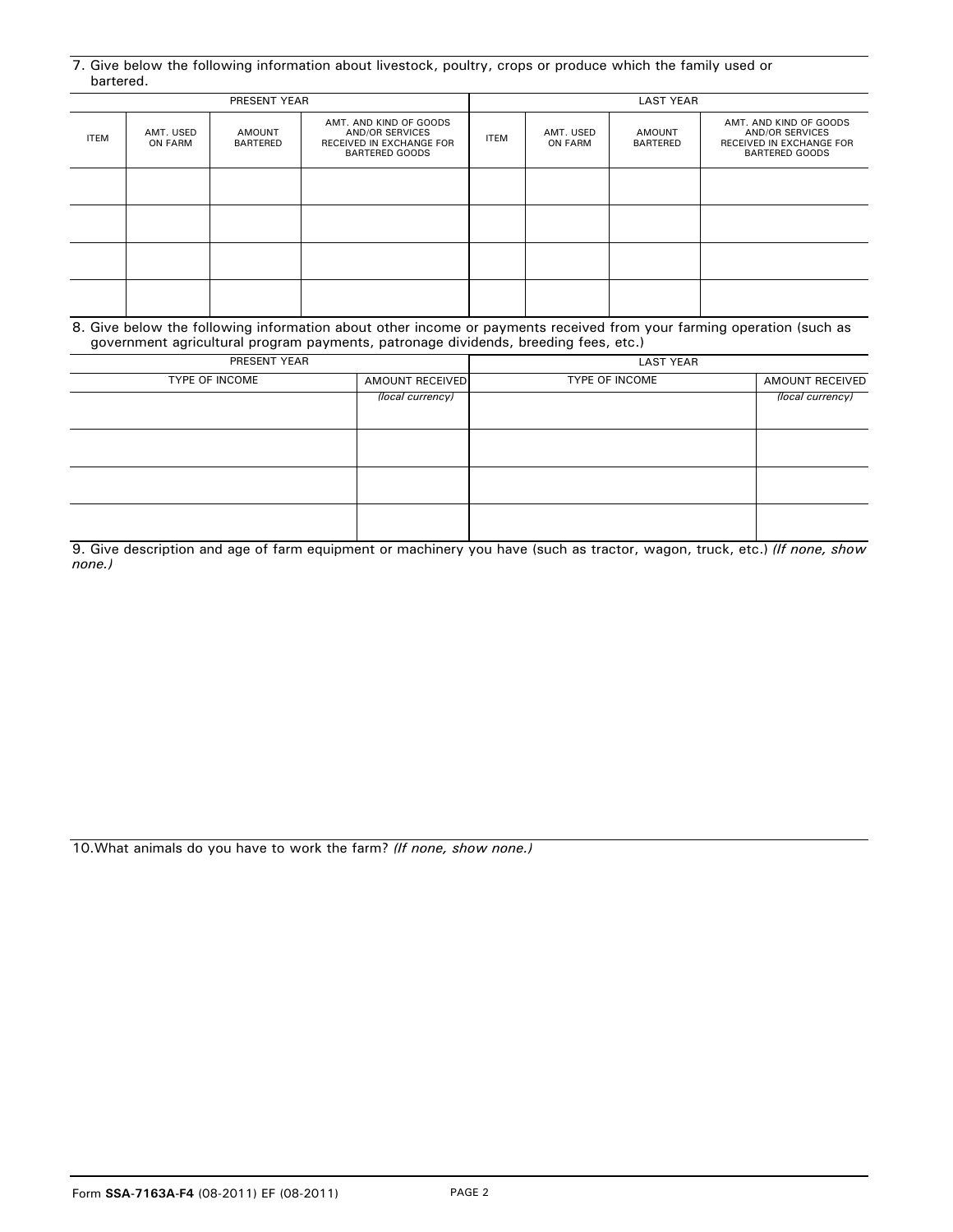| 7. Give below the following information about livestock, poultry, crops or produce which the family used or |  |  |  |
|-------------------------------------------------------------------------------------------------------------|--|--|--|
| bartered.                                                                                                   |  |  |  |

| PRESENT YEAR |                      |                    |                                                                                                |             | <b>LAST YEAR</b>            |                    |                                                                                                       |
|--------------|----------------------|--------------------|------------------------------------------------------------------------------------------------|-------------|-----------------------------|--------------------|-------------------------------------------------------------------------------------------------------|
| <b>ITEM</b>  | AMT. USED<br>ON FARM | AMOUNT<br>BARTERED | AMT. AND KIND OF GOODS<br><b>AND/OR SERVICES</b><br>RECEIVED IN EXCHANGE FOR<br>BARTERED GOODS | <b>ITEM</b> | AMT. USED<br><b>ON FARM</b> | AMOUNT<br>BARTERED | AMT. AND KIND OF GOODS<br><b>AND/OR SERVICES</b><br>RECEIVED IN EXCHANGE FOR<br><b>BARTERED GOODS</b> |
|              |                      |                    |                                                                                                |             |                             |                    |                                                                                                       |
|              |                      |                    |                                                                                                |             |                             |                    |                                                                                                       |
|              |                      |                    |                                                                                                |             |                             |                    |                                                                                                       |
|              |                      |                    |                                                                                                |             |                             |                    |                                                                                                       |

| 8. Give below the following information about other income or payments received from your farming operation (such as |
|----------------------------------------------------------------------------------------------------------------------|
| government agricultural program payments, patronage dividends, breeding fees, etc.)                                  |

| PRESENT YEAR   |                  | <b>LAST YEAR</b> |                        |
|----------------|------------------|------------------|------------------------|
| TYPE OF INCOME | AMOUNT RECEIVED  | TYPE OF INCOME   | <b>AMOUNT RECEIVED</b> |
|                | (local currency) |                  | (local currency)       |
|                |                  |                  |                        |
|                |                  |                  |                        |
|                |                  |                  |                        |
|                |                  |                  |                        |
|                |                  |                  |                        |
|                |                  |                  |                        |
|                |                  |                  |                        |

9. Give description and age of farm equipment or machinery you have (such as tractor, wagon, truck, etc.) *(If none, show none.)*

10.What animals do you have to work the farm? *(If none, show none.)*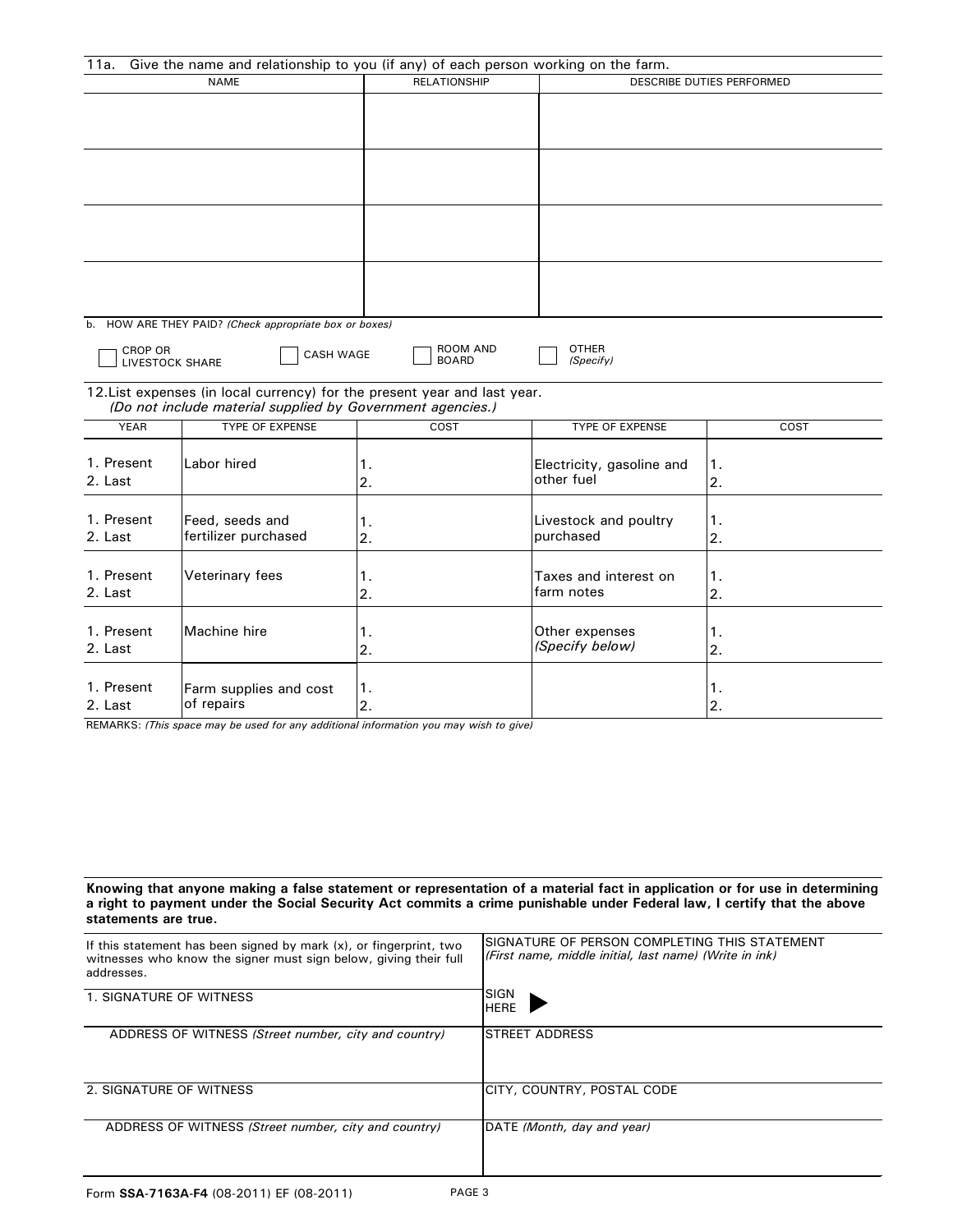| 11a.                  | Give the name and relationship to you (if any) of each person working on the farm.                                                      |                          |                                         |          |
|-----------------------|-----------------------------------------------------------------------------------------------------------------------------------------|--------------------------|-----------------------------------------|----------|
| <b>NAME</b>           |                                                                                                                                         | <b>RELATIONSHIP</b>      | DESCRIBE DUTIES PERFORMED               |          |
|                       |                                                                                                                                         |                          |                                         |          |
|                       |                                                                                                                                         |                          |                                         |          |
|                       |                                                                                                                                         |                          |                                         |          |
| <b>CROP OR</b>        | b. HOW ARE THEY PAID? (Check appropriate box or boxes)<br><b>CASH WAGE</b><br><b>LIVESTOCK SHARE</b>                                    | ROOM AND<br><b>BOARD</b> | <b>OTHER</b><br>(Specify)               |          |
|                       | 12. List expenses (in local currency) for the present year and last year.<br>(Do not include material supplied by Government agencies.) |                          |                                         |          |
| <b>YEAR</b>           | <b>TYPE OF EXPENSE</b>                                                                                                                  | COST                     | TYPE OF EXPENSE                         | COST     |
| 1. Present<br>2. Last | Labor hired                                                                                                                             | 1.<br>2.                 | Electricity, gasoline and<br>other fuel | 1.<br>2. |
| 1. Present<br>2. Last | Feed, seeds and<br>fertilizer purchased                                                                                                 | 1.<br>2.                 | Livestock and poultry<br>purchased      | 1.<br>2. |
| 1. Present<br>2. Last | Veterinary fees                                                                                                                         | 1.<br>2.                 | Taxes and interest on<br>farm notes     | 1.<br>2. |
| 1. Present<br>2. Last | Machine hire                                                                                                                            | 1.<br>2.                 | Other expenses<br>(Specify below)       | 1.<br>2. |
| 1. Present<br>2. Last | Farm supplies and cost<br>of repairs                                                                                                    | $\mathbf 1$ .<br>2.      |                                         | 1.<br>2. |

REMARKS: *(This space may be used for any additional information you may wish to give)*

**Knowing that anyone making a false statement or representation of a material fact in application or for use in determining a right to payment under the Social Security Act commits a crime punishable under Federal law, I certify that the above statements are true.**

| If this statement has been signed by mark (x), or fingerprint, two<br>witnesses who know the signer must sign below, giving their full<br>addresses. | ISIGNATURE OF PERSON COMPLETING THIS STATEMENT<br>(First name, middle initial, last name) (Write in ink) |
|------------------------------------------------------------------------------------------------------------------------------------------------------|----------------------------------------------------------------------------------------------------------|
| 1. SIGNATURE OF WITNESS                                                                                                                              | ISIGN<br><b>HERE</b>                                                                                     |
| ADDRESS OF WITNESS (Street number, city and country)                                                                                                 | <b>ISTREET ADDRESS</b>                                                                                   |
| 2. SIGNATURE OF WITNESS                                                                                                                              | ICITY, COUNTRY, POSTAL CODE                                                                              |
| ADDRESS OF WITNESS (Street number, city and country)                                                                                                 | DATE (Month, day and year)                                                                               |